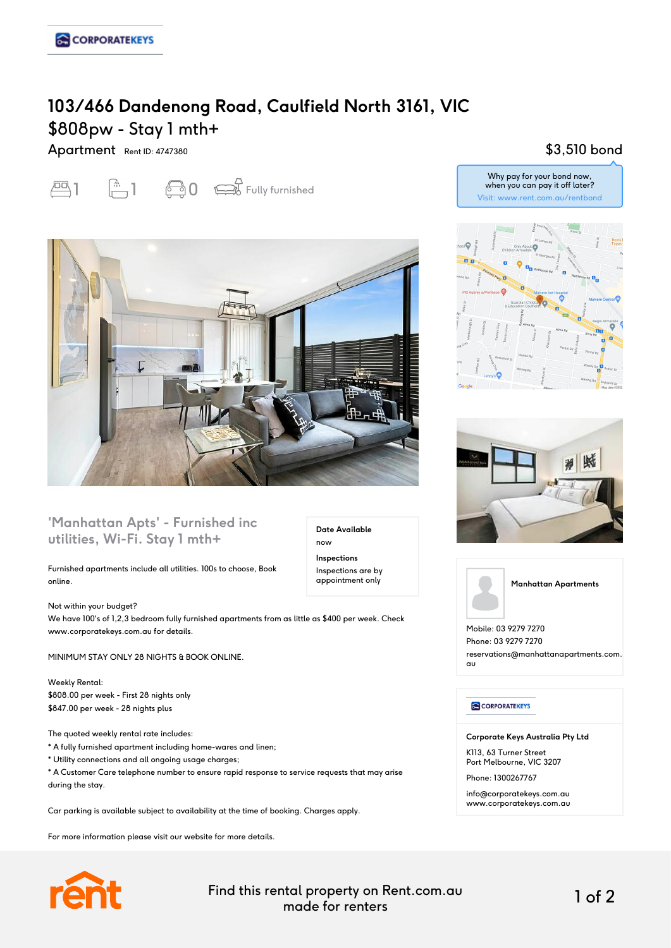# **103/466 Dandenong Road, Caulfield North 3161, VIC** \$808pw - Stay 1 mth+

Apartment Rent ID: 4747380





### **'Manhattan Apts' - Furnished inc utilities, Wi-Fi. Stay 1 mth+**

Furnished apartments include all utilities. 100s to choose, Book online.

Not within your budget? We have 100's of 1,2,3 bedroom fully furnished apartments from as little as \$400 per week. Check www.corporatekeys.com.au for details.

MINIMUM STAY ONLY 28 NIGHTS & BOOK ONLINE.

Weekly Rental: \$808.00 per week - First 28 nights only \$847.00 per week - 28 nights plus

The quoted weekly rental rate includes:

\* A fully furnished apartment including home-wares and linen;

\* Utility connections and all ongoing usage charges;

\* A Customer Care telephone number to ensure rapid response to service requests that may arise during the stay.

Car parking is available subject to availability at the time of booking. Charges apply.

For more information please visit our website for more details.



Find this rental property on Rent.com.au made for renters 1 of 2

**Date Available**

now **Inspections** Inspections are by appointment only

## \$3,510 bond







Mobile: 03 9279 7270 Phone: 03 9279 7270 reservations@manhattanapartments.com. au

#### **CORPORATEKEYS**

**Corporate Keys Australia Pty Ltd**

K113, 63 Turner Street Port Melbourne, VIC 3207

Phone: 1300267767

info@corporatekeys.com.au www.corporatekeys.com.au